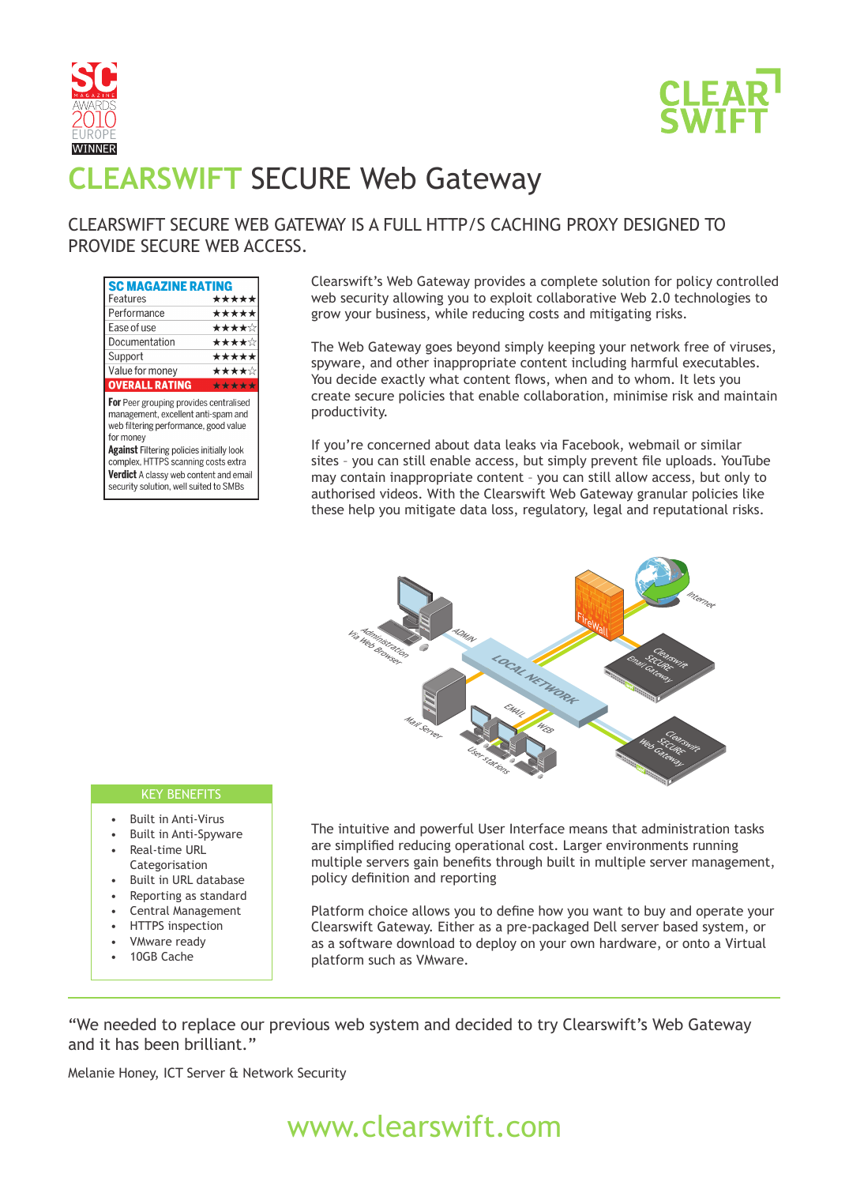



# **CLEARSWIFT** SECURE Web Gateway

### CLEARSWIFT SECURE WEB GATEWAY IS A FULL HTTP/S CACHING PROXY DESIGNED TO PROVIDE SECURE WEB ACCESS.

| <b>SC MAGAZINE RATING</b>          |       |
|------------------------------------|-------|
| Features                           | ***** |
| Performance                        | ***** |
| Ease of use                        | ★★★★☆ |
| Documentation                      | ★★★★☆ |
| Support                            | ***** |
| Value for money                    | ★★★★☆ |
| <b>OVERALL RATING</b>              | ***** |
| Door arouning nrouidon controlicad |       |

For Peer grouping provides centralised management, excellent anti-spam and web filtering performance, good value for money

Against Filtering policies initially look complex, HTTPS scanning costs extra Verdict A classy web content and email security solution, well suited to SMBs

Clearswift's Web Gateway provides a complete solution for policy controlled web security allowing you to exploit collaborative Web 2.0 technologies to grow your business, while reducing costs and mitigating risks.

The Web Gateway goes beyond simply keeping your network free of viruses, spyware, and other inappropriate content including harmful executables. You decide exactly what content flows, when and to whom. It lets you create secure policies that enable collaboration, minimise risk and maintain productivity.

If you're concerned about data leaks via Facebook, webmail or similar sites – you can still enable access, but simply prevent file uploads. YouTube may contain inappropriate content – you can still allow access, but only to authorised videos. With the Clearswift Web Gateway granular policies like these help you mitigate data loss, regulatory, legal and reputational risks.



#### KEY BENEFITS

- Built in Anti-Virus
- Built in Anti-Spyware
- Real-time URL Categorisation
- Built in URL database
- Reporting as standard
- Central Management
- HTTPS inspection
- VMware ready
- 10GB Cache

The intuitive and powerful User Interface means that administration tasks are simplified reducing operational cost. Larger environments running multiple servers gain benefits through built in multiple server management, policy definition and reporting

Platform choice allows you to define how you want to buy and operate your Clearswift Gateway. Either as a pre-packaged Dell server based system, or as a software download to deploy on your own hardware, or onto a Virtual platform such as VMware.

"We needed to replace our previous web system and decided to try Clearswift's Web Gateway and it has been brilliant."

Melanie Honey, ICT Server & Network Security

## www.clearswift.com